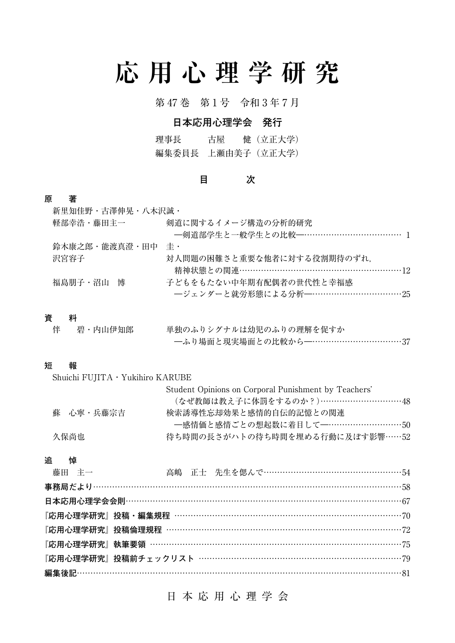# **応用心理学研究**

第 47 巻 第 1 号 令和 3 年 7 月

## **日本応用心理学会 発行**

理事長 古屋 健(立正大学) 編集委員長 上瀬由美子(立正大学)

## **目 次**

## **原 著**

| 新里知佳野・古澤伸晃・八木沢誠・ |                            |
|------------------|----------------------------|
| 軽部幸浩・藤田主一        | 剣道に関するイメージ構造の分析的研究         |
|                  |                            |
| 鈴木康之郎・能渡真澄・田中    | 圭・                         |
| 沢宮容子             | 対人問題の困難さと重要な他者に対する役割期待のずれ、 |
|                  |                            |
| 福島朋子・沼山 博        | 子どもをもたない中年期有配偶者の世代性と幸福感    |
|                  |                            |
|                  |                            |

## **資 料**

| 伴  碧・内山伊知郎 | 単独のふりシグナルは幼児のふりの理解を促すか        |
|------------|-------------------------------|
|            | ─ふり場面と現実場面との比較から─…………………………37 |

## **短 報**

| Shuichi $FUJITA \cdot Yukihiro KARUBE$ |                                                      |  |  |  |
|----------------------------------------|------------------------------------------------------|--|--|--|
|                                        | Student Opinions on Corporal Punishment by Teachers' |  |  |  |
|                                        | (なぜ教師は教え子に体罰をするのか?)…………………………48                      |  |  |  |
| 蘇 心寧・兵藤宗吉                              | 検索誘導性忘却効果と感情的自伝的記憶との関連                               |  |  |  |
|                                        | 一感情価と感情ごとの想起数に着目して --…………………………50                    |  |  |  |
| 久保尚也                                   | 待ち時間の長さがハトの待ち時間を埋める行動に及ぼす影響……52                      |  |  |  |
|                                        |                                                      |  |  |  |

#### **追 悼**

| 藤田 主一 |  | 高嶋 正士 先生を偲んで……………………………………………54 |  |
|-------|--|---------------------------------|--|
|       |  |                                 |  |
|       |  |                                 |  |
|       |  |                                 |  |
|       |  |                                 |  |
|       |  |                                 |  |
|       |  |                                 |  |
|       |  |                                 |  |

## 日本応用心理学会